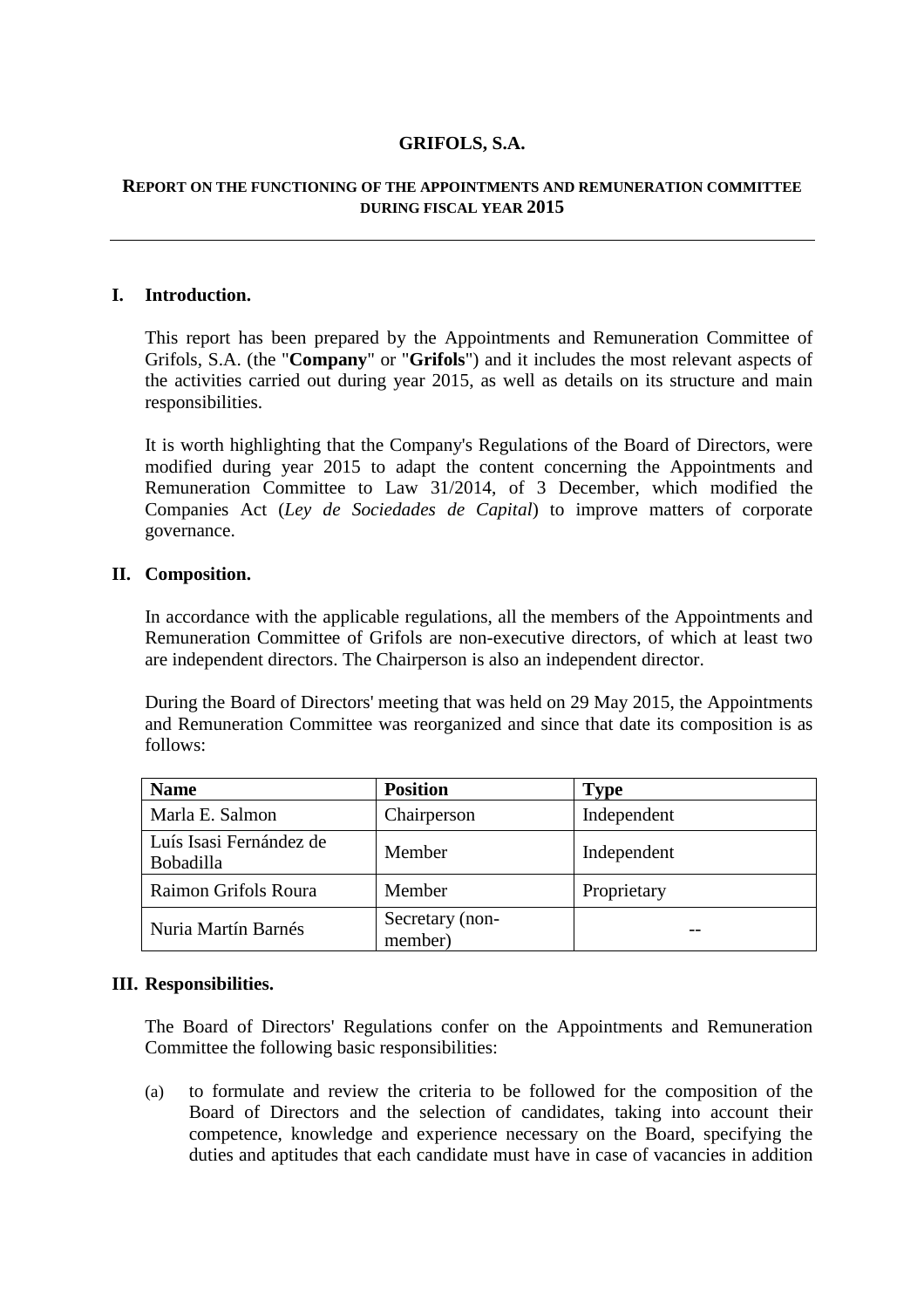# **GRIFOLS, S.A.**

### **REPORT ON THE FUNCTIONING OF THE APPOINTMENTS AND REMUNERATION COMMITTEE DURING FISCAL YEAR 2015**

# **I. Introduction.**

This report has been prepared by the Appointments and Remuneration Committee of Grifols, S.A. (the "**Company**" or "**Grifols**") and it includes the most relevant aspects of the activities carried out during year 2015, as well as details on its structure and main responsibilities.

It is worth highlighting that the Company's Regulations of the Board of Directors, were modified during year 2015 to adapt the content concerning the Appointments and Remuneration Committee to Law 31/2014, of 3 December, which modified the Companies Act (*Ley de Sociedades de Capital*) to improve matters of corporate governance.

### **II. Composition.**

In accordance with the applicable regulations, all the members of the Appointments and Remuneration Committee of Grifols are non-executive directors, of which at least two are independent directors. The Chairperson is also an independent director.

During the Board of Directors' meeting that was held on 29 May 2015, the Appointments and Remuneration Committee was reorganized and since that date its composition is as follows:

| <b>Name</b>                                 | <b>Position</b>            | <b>Type</b> |
|---------------------------------------------|----------------------------|-------------|
| Marla E. Salmon                             | Chairperson                | Independent |
| Luís Isasi Fernández de<br><b>Bobadilla</b> | Member                     | Independent |
| Raimon Grifols Roura                        | Member                     | Proprietary |
| Nuria Martín Barnés                         | Secretary (non-<br>member) |             |

### **III. Responsibilities.**

The Board of Directors' Regulations confer on the Appointments and Remuneration Committee the following basic responsibilities:

(a) to formulate and review the criteria to be followed for the composition of the Board of Directors and the selection of candidates, taking into account their competence, knowledge and experience necessary on the Board, specifying the duties and aptitudes that each candidate must have in case of vacancies in addition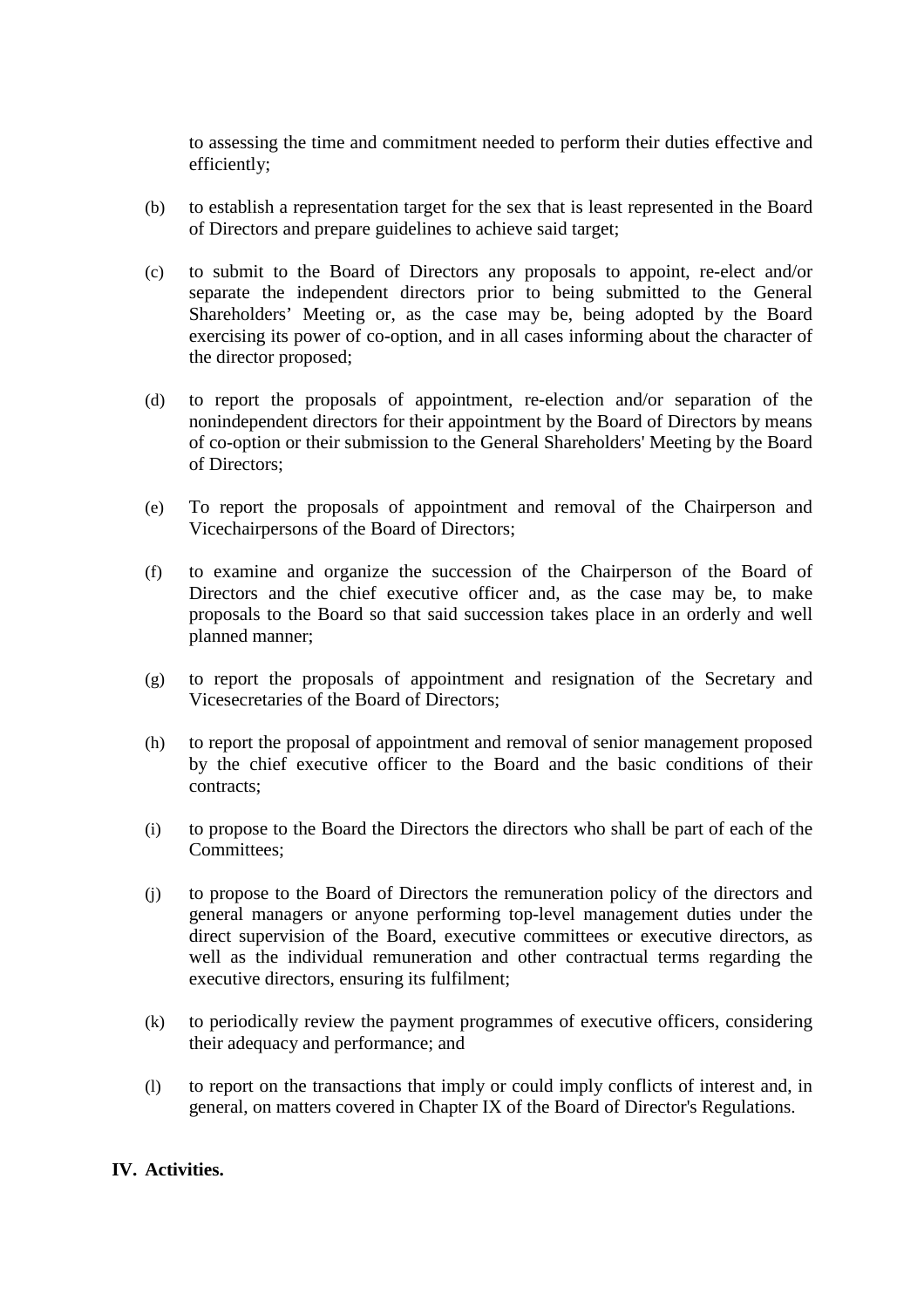to assessing the time and commitment needed to perform their duties effective and efficiently;

- (b) to establish a representation target for the sex that is least represented in the Board of Directors and prepare guidelines to achieve said target;
- (c) to submit to the Board of Directors any proposals to appoint, re-elect and/or separate the independent directors prior to being submitted to the General Shareholders' Meeting or, as the case may be, being adopted by the Board exercising its power of co-option, and in all cases informing about the character of the director proposed;
- (d) to report the proposals of appointment, re-election and/or separation of the nonindependent directors for their appointment by the Board of Directors by means of co-option or their submission to the General Shareholders' Meeting by the Board of Directors;
- (e) To report the proposals of appointment and removal of the Chairperson and Vicechairpersons of the Board of Directors;
- (f) to examine and organize the succession of the Chairperson of the Board of Directors and the chief executive officer and, as the case may be, to make proposals to the Board so that said succession takes place in an orderly and well planned manner;
- (g) to report the proposals of appointment and resignation of the Secretary and Vicesecretaries of the Board of Directors;
- (h) to report the proposal of appointment and removal of senior management proposed by the chief executive officer to the Board and the basic conditions of their contracts;
- (i) to propose to the Board the Directors the directors who shall be part of each of the Committees;
- (j) to propose to the Board of Directors the remuneration policy of the directors and general managers or anyone performing top-level management duties under the direct supervision of the Board, executive committees or executive directors, as well as the individual remuneration and other contractual terms regarding the executive directors, ensuring its fulfilment;
- (k) to periodically review the payment programmes of executive officers, considering their adequacy and performance; and
- (l) to report on the transactions that imply or could imply conflicts of interest and, in general, on matters covered in Chapter IX of the Board of Director's Regulations.

# **IV. Activities.**